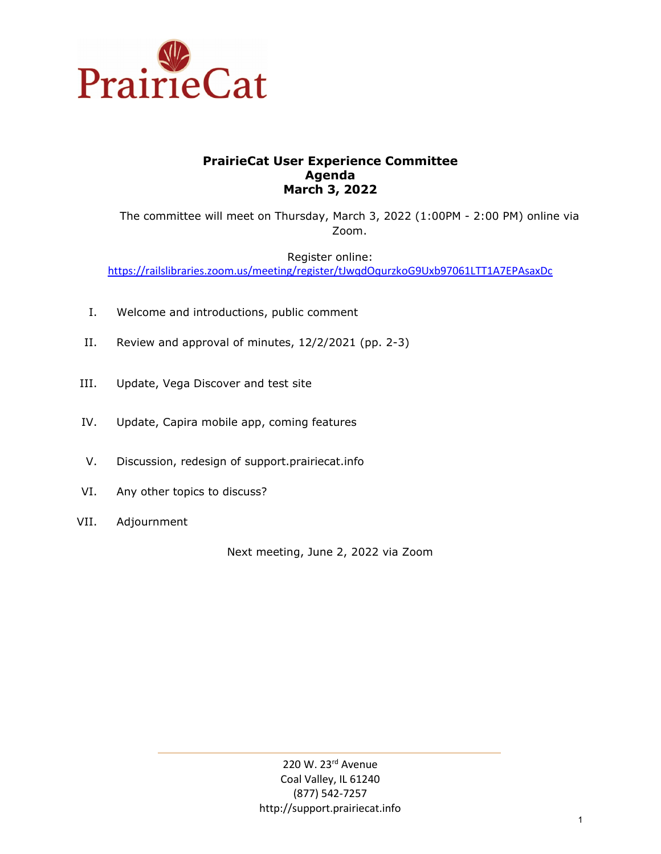

## **PrairieCat User Experience Committee Agenda March 3, 2022**

The committee will meet on Thursday, March 3, 2022 (1:00PM - 2:00 PM) online via Zoom.

Register online: <https://railslibraries.zoom.us/meeting/register/tJwqdOqurzkoG9Uxb97061LTT1A7EPAsaxDc>

- I. Welcome and introductions, public comment
- II. Review and approval of minutes, 12/2/2021 (pp. 2-3)
- III. Update, Vega Discover and test site
- IV. Update, Capira mobile app, coming features
- V. Discussion, redesign of support.prairiecat.info
- VI. Any other topics to discuss?
- VII. Adjournment

Next meeting, June 2, 2022 via Zoom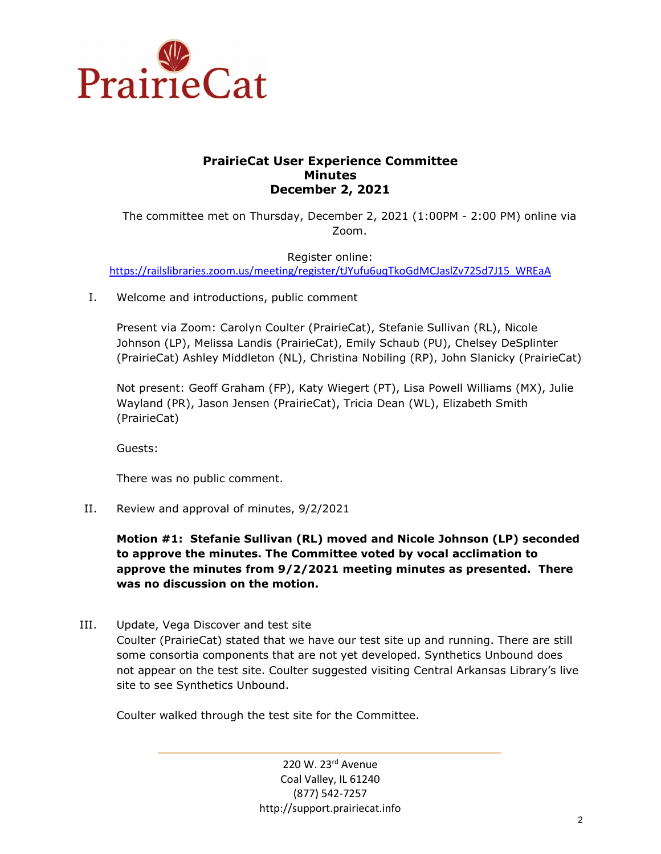

## **PrairieCat User Experience Committee Minutes December 2, 2021**

The committee met on Thursday, December 2, 2021 (1:00PM - 2:00 PM) online via Zoom.

Register online: [https://railslibraries.zoom.us/meeting/register/tJYufu6uqTkoGdMCJaslZv725d7J15\\_WREaA](https://railslibraries.zoom.us/meeting/register/tJYufu6uqTkoGdMCJaslZv725d7J15_WREaA)

I. Welcome and introductions, public comment

Present via Zoom: Carolyn Coulter (PrairieCat), Stefanie Sullivan (RL), Nicole Johnson (LP), Melissa Landis (PrairieCat), Emily Schaub (PU), Chelsey DeSplinter (PrairieCat) Ashley Middleton (NL), Christina Nobiling (RP), John Slanicky (PrairieCat)

Not present: Geoff Graham (FP), Katy Wiegert (PT), Lisa Powell Williams (MX), Julie Wayland (PR), Jason Jensen (PrairieCat), Tricia Dean (WL), Elizabeth Smith (PrairieCat)

Guests:

There was no public comment.

II. Review and approval of minutes, 9/2/2021

**Motion #1: Stefanie Sullivan (RL) moved and Nicole Johnson (LP) seconded to approve the minutes. The Committee voted by vocal acclimation to approve the minutes from 9/2/2021 meeting minutes as presented. There was no discussion on the motion.** 

III. Update, Vega Discover and test site

Coulter (PrairieCat) stated that we have our test site up and running. There are still some consortia components that are not yet developed. Synthetics Unbound does not appear on the test site. Coulter suggested visiting Central Arkansas Library's live site to see Synthetics Unbound.

Coulter walked through the test site for the Committee.

220 W. 23rd Avenue Coal Valley, IL 61240 (877) 542-7257 http://support.prairiecat.info